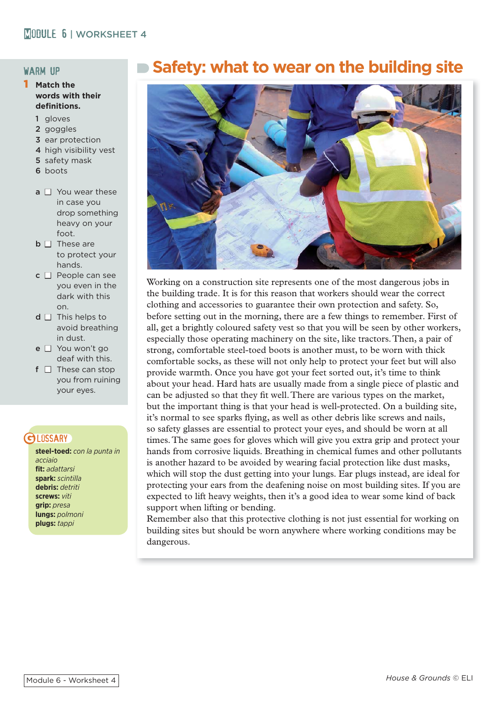#### warm up

- 1 **Match the words with their**  definitions.
	- 1 gloves
	- 2 goggles
	- 3 ear protection
	- 4 high visibility vest
	- 5 safety mask
	- 6 boots
	- $a \Box$  You wear these in case you drop something heavy on your foot.
	- $\Box$  **These are**  to protect your hands.
	- $c \Box$  People can see you even in the dark with this on.
	- $d \Box$  This helps to avoid breathing in dust.
	- $e \Box$  You won't go deaf with this.
	- $f \Box$  These can stop you from ruining your eyes.

# **BLOSSARY**

**steel-toed:** *con la punta in acciaio* **fit:** *adattarsi* **spark:** *scintilla* **debris:** *detriti* **screws:** *viti* **grip:** *presa* **lungs:** *polmoni* **plugs:** *tappi*

# **Safety: what to wear on the building site**



Working on a construction site represents one of the most dangerous jobs in the building trade. It is for this reason that workers should wear the correct clothing and accessories to guarantee their own protection and safety. So, before setting out in the morning, there are a few things to remember. First of all, get a brightly coloured safety vest so that you will be seen by other workers, especially those operating machinery on the site, like tractors. Then, a pair of strong, comfortable steel-toed boots is another must, to be worn with thick comfortable socks, as these will not only help to protect your feet but will also provide warmth. Once you have got your feet sorted out, it's time to think about your head. Hard hats are usually made from a single piece of plastic and can be adjusted so that they fit well. There are various types on the market, but the important thing is that your head is well-protected. On a building site, it's normal to see sparks flying, as well as other debris like screws and nails, so safety glasses are essential to protect your eyes, and should be worn at all times. The same goes for gloves which will give you extra grip and protect your hands from corrosive liquids. Breathing in chemical fumes and other pollutants is another hazard to be avoided by wearing facial protection like dust masks, which will stop the dust getting into your lungs. Ear plugs instead, are ideal for protecting your ears from the deafening noise on most building sites. If you are expected to lift heavy weights, then it's a good idea to wear some kind of back support when lifting or bending.

Remember also that this protective clothing is not just essential for working on building sites but should be worn anywhere where working conditions may be dangerous.